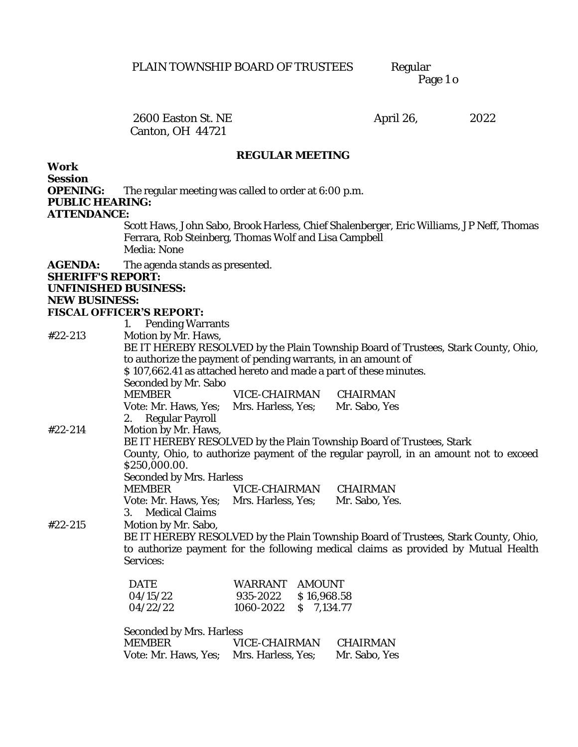Page 1 o

Canton, OH 44721

2600 Easton St. NE April 26, 2022

## **REGULAR MEETING**

**Work** 

**Session** 

**OPENING:** The regular meeting was called to order at 6:00 p.m.

**PUBLIC HEARING:** 

**ATTENDANCE:**

Scott Haws, John Sabo, Brook Harless, Chief Shalenberger, Eric Williams, JP Neff, Thomas Ferrara, Rob Steinberg, Thomas Wolf and Lisa Campbell Media: None

**AGENDA:** The agenda stands as presented.

**SHERIFF'S REPORT:** 

**UNFINISHED BUSINESS:**

**NEW BUSINESS:**

## **FISCAL OFFICER'S REPORT:**

1. Pending Warrants #22-213 Motion by Mr. Haws,

|         | BE IT HEREBY RESOLVED by the Plain Township Board of Trustees, Stark County, Ohio,<br>to authorize the payment of pending warrants, in an amount of |                        |                                                                                       |  |
|---------|-----------------------------------------------------------------------------------------------------------------------------------------------------|------------------------|---------------------------------------------------------------------------------------|--|
|         | \$107,662.41 as attached hereto and made a part of these minutes.                                                                                   |                        |                                                                                       |  |
|         | Seconded by Mr. Sabo<br>MEMBER VICE-CHAIRMAN CHAIRMAN                                                                                               |                        |                                                                                       |  |
|         |                                                                                                                                                     |                        |                                                                                       |  |
|         | Vote: Mr. Haws, Yes; Mrs. Harless, Yes; Mr. Sabo, Yes<br>2. Regular Payroll                                                                         |                        |                                                                                       |  |
| #22-214 | Motion by Mr. Haws,                                                                                                                                 |                        |                                                                                       |  |
|         |                                                                                                                                                     |                        | BE IT HEREBY RESOLVED by the Plain Township Board of Trustees, Stark                  |  |
|         |                                                                                                                                                     |                        | County, Ohio, to authorize payment of the regular payroll, in an amount not to exceed |  |
|         | \$250,000.00.                                                                                                                                       |                        |                                                                                       |  |
|         | Seconded by Mrs. Harless                                                                                                                            |                        |                                                                                       |  |
|         | <b>MEMBER</b>                                                                                                                                       | VICE-CHAIRMAN CHAIRMAN |                                                                                       |  |
|         | Vote: Mr. Haws, Yes; Mrs. Harless, Yes; Mr. Sabo, Yes.                                                                                              |                        |                                                                                       |  |
|         | 3. Medical Claims                                                                                                                                   |                        |                                                                                       |  |
| #22-215 | Motion by Mr. Sabo,                                                                                                                                 |                        |                                                                                       |  |
|         | BE IT HEREBY RESOLVED by the Plain Township Board of Trustees, Stark County, Ohio,                                                                  |                        |                                                                                       |  |
|         |                                                                                                                                                     |                        | to authorize payment for the following medical claims as provided by Mutual Health    |  |
|         | Services:                                                                                                                                           |                        |                                                                                       |  |
|         | <b>DATE</b>                                                                                                                                         | WARRANT AMOUNT         |                                                                                       |  |
|         | 04/15/22                                                                                                                                            | 935-2022 \$16,968.58   |                                                                                       |  |
|         | 04/22/22                                                                                                                                            | 1060-2022 \$ 7,134.77  |                                                                                       |  |
|         |                                                                                                                                                     |                        |                                                                                       |  |
|         | Seconded by Mrs. Harless                                                                                                                            |                        |                                                                                       |  |
|         | MEMBER                                                                                                                                              | VICE-CHAIRMAN          | CHAIRMAN                                                                              |  |

Vote: Mr. Haws, Yes; Mrs. Harless, Yes; Mr. Sabo, Yes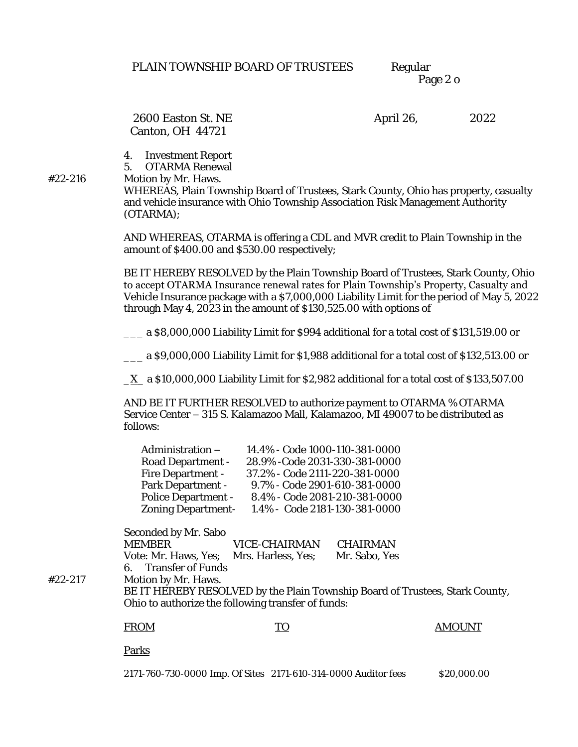Page 2 o

Canton, OH 44721

2600 Easton St. NE April 26, 2022

4. Investment Report

5. OTARMA Renewal

#22-216 Motion by Mr. Haws.

WHEREAS, Plain Township Board of Trustees, Stark County, Ohio has property, casualty and vehicle insurance with Ohio Township Association Risk Management Authority (OTARMA);

AND WHEREAS, OTARMA is offering a CDL and MVR credit to Plain Township in the amount of \$400.00 and \$530.00 respectively;

BE IT HEREBY RESOLVED by the Plain Township Board of Trustees, Stark County, Ohio to accept OTARMA Insurance renewal rates for Plain Township's Property, Casualty and Vehicle Insurance package with a \$7,000,000 Liability Limit for the period of May 5, 2022 through May 4, 2023 in the amount of \$130,525.00 with options of

\_\_\_ a \$8,000,000 Liability Limit for \$994 additional for a total cost of \$131,519.00 or

\_\_\_ a \$9,000,000 Liability Limit for \$1,988 additional for a total cost of \$132,513.00 or

\_X\_ a \$10,000,000 Liability Limit for \$2,982 additional for a total cost of \$133,507.00

AND BE IT FURTHER RESOLVED to authorize payment to OTARMA % OTARMA Service Center – 315 S. Kalamazoo Mall, Kalamazoo, MI 49007 to be distributed as follows:

| Administration -    | 14.4% - Code 1000-110-381-0000 |
|---------------------|--------------------------------|
| Road Department -   | 28.9% - Code 2031-330-381-0000 |
| Fire Department -   | 37.2% - Code 2111-220-381-0000 |
| Park Department -   | 9.7% - Code 2901-610-381-0000  |
| Police Department - | 8.4% - Code 2081-210-381-0000  |
| Zoning Department-  | 1.4% - Code 2181-130-381-0000  |

Seconded by Mr. Sabo

| MEMBER                                  | VICE-CHAIRMAN | CHAIRMAN      |
|-----------------------------------------|---------------|---------------|
| Vote: Mr. Haws, Yes; Mrs. Harless, Yes; |               | Mr. Sabo, Yes |
| 6. Transfer of Funds                    |               |               |

#22-217 Motion by Mr. Haws.

BE IT HEREBY RESOLVED by the Plain Township Board of Trustees, Stark County, Ohio to authorize the following transfer of funds:

FROM TO TO AMOUNT

Parks

2171-760-730-0000 Imp. Of Sites 2171-610-314-0000 Auditor fees \$20,000.00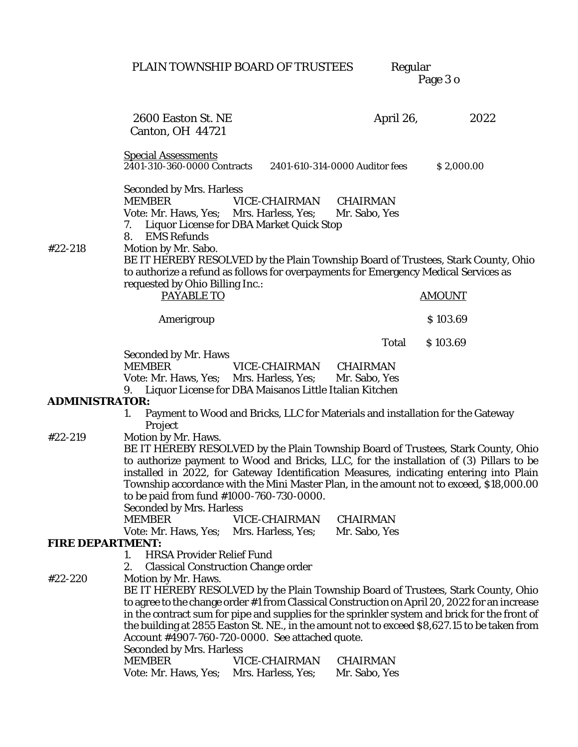PLAIN TOWNSHIP BOARD OF TRUSTEES

Regular<br>Page 3 o

|                  | 2600 Easton St. NE<br>Canton, OH 44721                                                                                                                         |                                                                                | April 26,                      | 2022                                                                                                                                                                                                                                                                                                                                                                                |
|------------------|----------------------------------------------------------------------------------------------------------------------------------------------------------------|--------------------------------------------------------------------------------|--------------------------------|-------------------------------------------------------------------------------------------------------------------------------------------------------------------------------------------------------------------------------------------------------------------------------------------------------------------------------------------------------------------------------------|
|                  | <b>Special Assessments</b><br>2401-310-360-0000 Contracts                                                                                                      |                                                                                | 2401-610-314-0000 Auditor fees | \$2,000.00                                                                                                                                                                                                                                                                                                                                                                          |
| #22-218          | Seconded by Mrs. Harless<br><b>MEMBER</b><br>Vote: Mr. Haws, Yes; Mrs. Harless, Yes;<br>$\frac{1}{2}$<br><b>EMS Refunds</b><br>8.<br>Motion by Mr. Sabo.       | VICE-CHAIRMAN<br>Liquor License for DBA Market Quick Stop                      | CHAIRMAN<br>Mr. Sabo, Yes      |                                                                                                                                                                                                                                                                                                                                                                                     |
|                  | to authorize a refund as follows for overpayments for Emergency Medical Services as                                                                            |                                                                                |                                | BE IT HEREBY RESOLVED by the Plain Township Board of Trustees, Stark County, Ohio                                                                                                                                                                                                                                                                                                   |
|                  | requested by Ohio Billing Inc.:<br>PAYABLE TO                                                                                                                  |                                                                                |                                | <b>AMOUNT</b>                                                                                                                                                                                                                                                                                                                                                                       |
|                  | Amerigroup                                                                                                                                                     |                                                                                |                                | \$103.69                                                                                                                                                                                                                                                                                                                                                                            |
|                  |                                                                                                                                                                |                                                                                | Total                          | \$103.69                                                                                                                                                                                                                                                                                                                                                                            |
|                  | Seconded by Mr. Haws<br><b>MEMBER</b><br>Vote: Mr. Haws, Yes; Mrs. Harless, Yes; Mr. Sabo, Yes<br>9. Liquor License for DBA Maisanos Little Italian Kitchen    | VICE-CHAIRMAN                                                                  | CHAIRMAN                       |                                                                                                                                                                                                                                                                                                                                                                                     |
| ADMINISTRATOR:   | $1_{\cdot}$<br>Project                                                                                                                                         | Payment to Wood and Bricks, LLC for Materials and installation for the Gateway |                                |                                                                                                                                                                                                                                                                                                                                                                                     |
| #22-219          | Motion by Mr. Haws.<br>to be paid from fund #1000-760-730-0000.<br>Seconded by Mrs. Harless                                                                    |                                                                                |                                | BE IT HEREBY RESOLVED by the Plain Township Board of Trustees, Stark County, Ohio<br>to authorize payment to Wood and Bricks, LLC, for the installation of (3) Pillars to be<br>installed in 2022, for Gateway Identification Measures, indicating entering into Plain<br>Township accordance with the Mini Master Plan, in the amount not to exceed, \$18,000.00                   |
|                  | <b>MEMBER</b><br>Vote: Mr. Haws, Yes; Mrs. Harless, Yes;                                                                                                       | VICE-CHAIRMAN                                                                  | CHAIRMAN<br>Mr. Sabo, Yes      |                                                                                                                                                                                                                                                                                                                                                                                     |
| FIRE DEPARTMENT: | <b>HRSA Provider Relief Fund</b><br>1.<br>2.                                                                                                                   | Classical Construction Change order                                            |                                |                                                                                                                                                                                                                                                                                                                                                                                     |
| #22-220          | Motion by Mr. Haws.<br>Account #4907-760-720-0000. See attached quote.<br>Seconded by Mrs. Harless<br><b>MEMBER</b><br>Vote: Mr. Haws, Yes; Mrs. Harless, Yes; | VICE-CHAIRMAN                                                                  | CHAIRMAN<br>Mr. Sabo, Yes      | BE IT HEREBY RESOLVED by the Plain Township Board of Trustees, Stark County, Ohio<br>to agree to the change order #1 from Classical Construction on April 20, 2022 for an increase<br>in the contract sum for pipe and supplies for the sprinkler system and brick for the front of<br>the building at 2855 Easton St. NE., in the amount not to exceed \$8,627.15 to be taken from |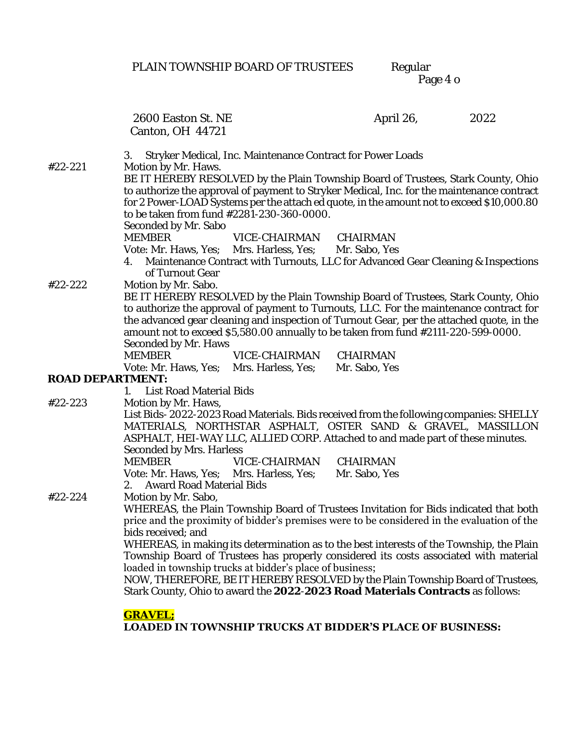PLAIN TOWNSHIP BOARD OF TRUSTEES

Regular<br>Page 4 o

|                  | 2600 Easton St. NE<br>Canton, OH 44721                                                                           |                                                            | April 26,                                                                                                                                                                                                                                                                                                                                                                   | 2022 |
|------------------|------------------------------------------------------------------------------------------------------------------|------------------------------------------------------------|-----------------------------------------------------------------------------------------------------------------------------------------------------------------------------------------------------------------------------------------------------------------------------------------------------------------------------------------------------------------------------|------|
| #22-221          | 3.<br>Motion by Mr. Haws.<br>to be taken from fund #2281-230-360-0000.<br>Seconded by Mr. Sabo                   | Stryker Medical, Inc. Maintenance Contract for Power Loads | BE IT HEREBY RESOLVED by the Plain Township Board of Trustees, Stark County, Ohio<br>to authorize the approval of payment to Stryker Medical, Inc. for the maintenance contract<br>for 2 Power-LOAD Systems per the attach ed quote, in the amount not to exceed \$10,000.80                                                                                                |      |
| #22-222          | <b>MEMBER</b><br>Vote: Mr. Haws, Yes; Mrs. Harless, Yes; Mr. Sabo, Yes<br>of Turnout Gear<br>Motion by Mr. Sabo. | VICE-CHAIRMAN                                              | CHAIRMAN<br>Maintenance Contract with Turnouts, LLC for Advanced Gear Cleaning & Inspections                                                                                                                                                                                                                                                                                |      |
|                  | Seconded by Mr. Haws<br><b>MEMBER</b>                                                                            | VICE-CHAIRMAN                                              | BE IT HEREBY RESOLVED by the Plain Township Board of Trustees, Stark County, Ohio<br>to authorize the approval of payment to Turnouts, LLC. For the maintenance contract for<br>the advanced gear cleaning and inspection of Turnout Gear, per the attached quote, in the<br>amount not to exceed \$5,580.00 annually to be taken from fund #2111-220-599-0000.<br>CHAIRMAN |      |
| ROAD DEPARTMENT: | Vote: Mr. Haws, Yes; Mrs. Harless, Yes;                                                                          |                                                            | Mr. Sabo, Yes                                                                                                                                                                                                                                                                                                                                                               |      |
|                  | 1. List Road Material Bids                                                                                       |                                                            |                                                                                                                                                                                                                                                                                                                                                                             |      |
| #22-223          | Motion by Mr. Haws,<br>Seconded by Mrs. Harless                                                                  |                                                            | List Bids-2022-2023 Road Materials. Bids received from the following companies: SHELLY<br>MATERIALS, NORTHSTAR ASPHALT, OSTER SAND & GRAVEL, MASSILLON<br>ASPHALT, HEI-WAY LLC, ALLIED CORP. Attached to and made part of these minutes.                                                                                                                                    |      |
|                  | <b>MEMBER</b><br>Vote: Mr. Haws, Yes; Mrs. Harless, Yes;<br>2. Award Road Material Bids                          | VICE-CHAIRMAN                                              | CHAIRMAN<br>Mr. Sabo, Yes                                                                                                                                                                                                                                                                                                                                                   |      |
| #22-224          | Motion by Mr. Sabo,<br>bids received; and                                                                        |                                                            | WHEREAS, the Plain Township Board of Trustees Invitation for Bids indicated that both<br>price and the proximity of bidder's premises were to be considered in the evaluation of the                                                                                                                                                                                        |      |
|                  | loaded in township trucks at bidder's place of business;                                                         |                                                            | WHEREAS, in making its determination as to the best interests of the Township, the Plain<br>Township Board of Trustees has properly considered its costs associated with material<br>NOW, THEREFORE, BE IT HEREBY RESOLVED by the Plain Township Board of Trustees,                                                                                                         |      |
|                  | <b>GRAVEL;</b>                                                                                                   |                                                            | Stark County, Ohio to award the 2022-2023 Road Materials Contracts as follows:<br><b>LOADED IN TOWNSHIP TRUCKS AT BIDDER'S PLACE OF BUSINESS:</b>                                                                                                                                                                                                                           |      |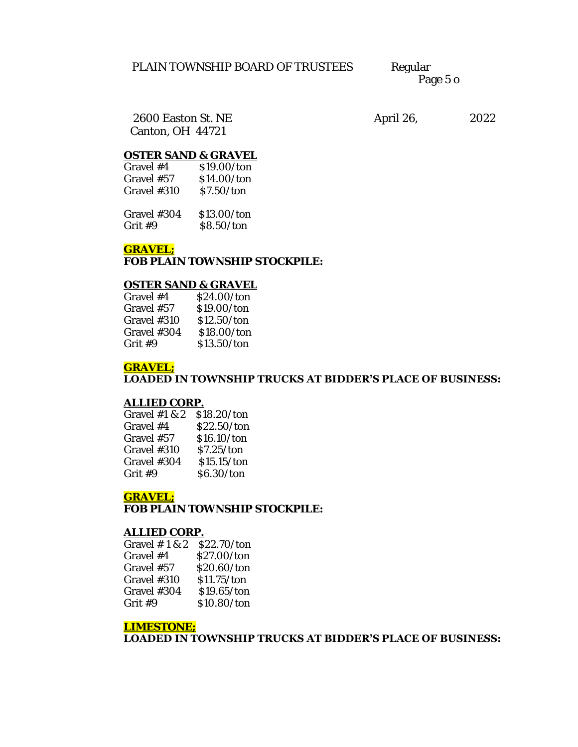Page 5 o

Canton, OH 44721

2600 Easton St. NE April 26, 2022

# **OSTER SAND & GRAVEL**

| Gravel #4     | \$19,00/ton |
|---------------|-------------|
| Gravel #57    | \$14.00/ton |
| Gravel $#310$ | \$7.50/ton  |

| Gravel #304 | \$13.00/ton |
|-------------|-------------|
| Grit #9     | \$8.50/ton  |

## **GRAVEL;**

**FOB PLAIN TOWNSHIP STOCKPILE:**

#### **OSTER SAND & GRAVEL**

| Gravel #4   | \$24.00/ton |
|-------------|-------------|
| Gravel #57  | \$19,00/ton |
| Gravel #310 | \$12.50/ton |
| Gravel #304 | \$18,00/ton |
| Grit #9     | \$13.50/ton |

#### **GRAVEL; LOADED IN TOWNSHIP TRUCKS AT BIDDER'S PLACE OF BUSINESS:**

#### **ALLIED CORP.**

| Gravel #1 & 2 | \$18.20/ton |
|---------------|-------------|
| Gravel #4     | \$22.50/ton |
| Gravel #57    | \$16.10/ton |
| Gravel #310   | \$7.25/ton  |
| Gravel #304   | \$15.15/ton |
| Grit #9       | \$6.30/ton  |

## **GRAVEL;**

**FOB PLAIN TOWNSHIP STOCKPILE:**

#### **ALLIED CORP.**

| Gravel $# 1 & 2$ | \$22.70/ton |
|------------------|-------------|
| Gravel #4        | \$27.00/ton |
| Gravel #57       | \$20.60/ton |
| Gravel #310      | \$11.75/ton |
| Gravel #304      | \$19.65/ton |
| Grit #9          | \$10.80/ton |

## **LIMESTONE;**

**LOADED IN TOWNSHIP TRUCKS AT BIDDER'S PLACE OF BUSINESS:**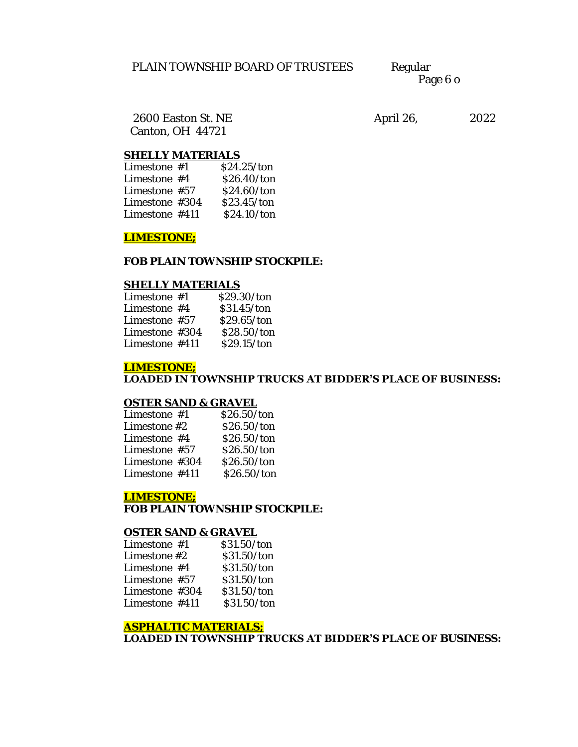Page 6 o

Canton, OH 44721

2600 Easton St. NE April 26, 2022

## **SHELLY MATERIALS**

| Limestone $#1$   | \$24.25/ton |
|------------------|-------------|
| Limestone $#4$   | \$26.40/ton |
| Limestone $#57$  | \$24.60/ton |
| Limestone #304   | \$23.45/ton |
| Limestone $#411$ | \$24.10/ton |
|                  |             |

#### **LIMESTONE;**

## **FOB PLAIN TOWNSHIP STOCKPILE:**

#### **SHELLY MATERIALS**

| Limestone $#1$   | \$29.30/ton |
|------------------|-------------|
| Limestone $#4$   | \$31.45/ton |
| Limestone $#57$  | \$29.65/ton |
| Limestone $#304$ | \$28.50/ton |
| Limestone #411   | \$29.15/ton |

## **LIMESTONE;**

**LOADED IN TOWNSHIP TRUCKS AT BIDDER'S PLACE OF BUSINESS:**

#### **OSTER SAND & GRAVEL**

| Limestone #1   | \$26.50/ton |
|----------------|-------------|
| Limestone #2   | \$26.50/ton |
| Limestone #4   | \$26.50/ton |
| Limestone #57  | \$26.50/ton |
| Limestone #304 | \$26.50/ton |
| Limestone #411 | \$26.50/ton |

## **LIMESTONE;**

**FOB PLAIN TOWNSHIP STOCKPILE:**

#### **OSTER SAND & GRAVEL**

| Limestone $#1$ | \$31.50/ton |
|----------------|-------------|
| Limestone #2   | \$31.50/ton |
| Limestone #4   | \$31.50/ton |
| Limestone #57  | \$31.50/ton |
| Limestone #304 | \$31.50/ton |
| Limestone #411 | \$31.50/ton |

#### **ASPHALTIC MATERIALS;**

**LOADED IN TOWNSHIP TRUCKS AT BIDDER'S PLACE OF BUSINESS:**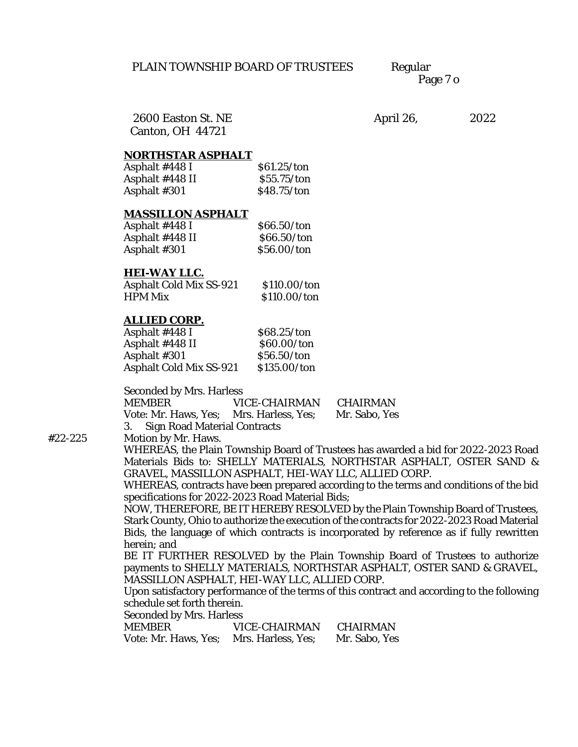Page 7 o

Canton, OH 44721

2600 Easton St. NE April 26, 2022

# **NORTHSTAR ASPHALT**

| \$61.25/ton |
|-------------|
| \$55.75/ton |
| \$48.75/ton |
|             |

#### **MASSILLON ASPHALT**

| Asphalt #448 I  | \$66.50/ton |
|-----------------|-------------|
| Asphalt #448 II | \$66.50/ton |
| Asphalt #301    | \$56.00/ton |

#### **HEI-WAY LLC.**

| Asphalt Cold Mix SS-921 | \$110.00/ton |
|-------------------------|--------------|
| HPM Mix                 | \$110.00/ton |

#### **ALLIED CORP.**

| Asphalt #448 l          | \$68.25/ton  |
|-------------------------|--------------|
| Asphalt #448 II         | \$60,00/ton  |
| Asphalt #301            | \$56.50/ton  |
| Asphalt Cold Mix SS-921 | \$135.00/ton |

Seconded by Mrs. Harless

| MEMBER                                  | VICE-CHAIRMAN | CHAIRMAN      |
|-----------------------------------------|---------------|---------------|
| Vote: Mr. Haws, Yes; Mrs. Harless, Yes; |               | Mr. Sabo, Yes |
| 3. Sign Road Material Contracts         |               |               |

#22-225 Motion by Mr. Haws.

WHEREAS, the Plain Township Board of Trustees has awarded a bid for 2022-2023 Road Materials Bids to: SHELLY MATERIALS, NORTHSTAR ASPHALT, OSTER SAND & GRAVEL, MASSILLON ASPHALT, HEI-WAY LLC, ALLIED CORP.

WHEREAS, contracts have been prepared according to the terms and conditions of the bid specifications for 2022-2023 Road Material Bids;

NOW, THEREFORE, BE IT HEREBY RESOLVED by the Plain Township Board of Trustees, Stark County, Ohio to authorize the execution of the contracts for 2022-2023 Road Material Bids, the language of which contracts is incorporated by reference as if fully rewritten herein; and

BE IT FURTHER RESOLVED by the Plain Township Board of Trustees to authorize payments to SHELLY MATERIALS, NORTHSTAR ASPHALT, OSTER SAND & GRAVEL, MASSILLON ASPHALT, HEI-WAY LLC, ALLIED CORP.

Upon satisfactory performance of the terms of this contract and according to the following schedule set forth therein.

Seconded by Mrs. Harless

| MEMBER                 | VICE-CHAIRMAN      | CHAIRMAN      |
|------------------------|--------------------|---------------|
| Vote: Mr. Haws. Yes: L | Mrs. Harless, Yes; | Mr. Sabo, Yes |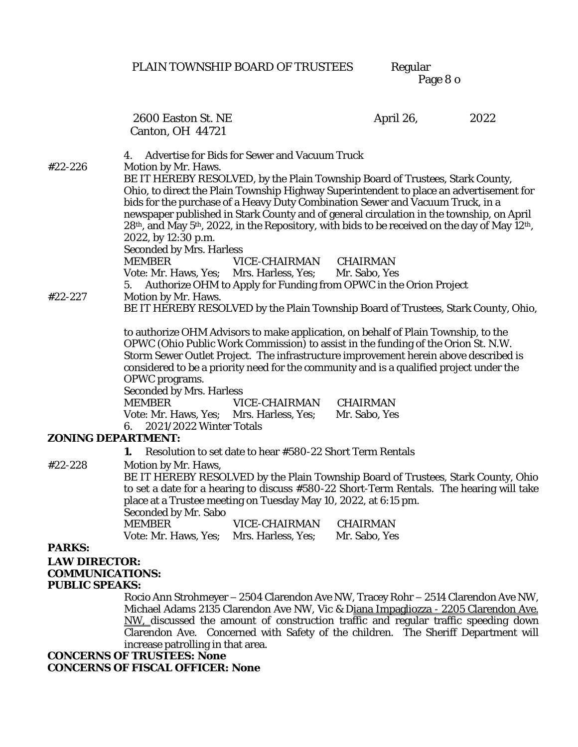# PLAIN TOWNSHIP BOARD OF TRUSTEES

Regular<br>Page 8 o

|                       | 2600 Easton St. NE                                                     |                                                           | April 26,                                                                                                                                                                       | 2022 |
|-----------------------|------------------------------------------------------------------------|-----------------------------------------------------------|---------------------------------------------------------------------------------------------------------------------------------------------------------------------------------|------|
|                       | Canton, OH 44721                                                       |                                                           |                                                                                                                                                                                 |      |
|                       | Advertise for Bids for Sewer and Vacuum Truck<br>4.                    |                                                           |                                                                                                                                                                                 |      |
| #22-226               | Motion by Mr. Haws.                                                    |                                                           |                                                                                                                                                                                 |      |
|                       |                                                                        |                                                           | BE IT HEREBY RESOLVED, by the Plain Township Board of Trustees, Stark County,                                                                                                   |      |
|                       |                                                                        |                                                           | Ohio, to direct the Plain Township Highway Superintendent to place an advertisement for<br>bids for the purchase of a Heavy Duty Combination Sewer and Vacuum Truck, in a       |      |
|                       |                                                                        |                                                           | newspaper published in Stark County and of general circulation in the township, on April                                                                                        |      |
|                       |                                                                        |                                                           | 28 <sup>th</sup> , and May 5 <sup>th</sup> , 2022, in the Repository, with bids to be received on the day of May 12 <sup>th</sup> ,                                             |      |
|                       | 2022, by 12:30 p.m.                                                    |                                                           |                                                                                                                                                                                 |      |
|                       | Seconded by Mrs. Harless                                               |                                                           |                                                                                                                                                                                 |      |
|                       | <b>MEMBER</b><br>Vote: Mr. Haws, Yes; Mrs. Harless, Yes; Mr. Sabo, Yes | VICE-CHAIRMAN CHAIRMAN                                    |                                                                                                                                                                                 |      |
|                       |                                                                        |                                                           | 5. Authorize OHM to Apply for Funding from OPWC in the Orion Project                                                                                                            |      |
| #22-227               | Motion by Mr. Haws.                                                    |                                                           |                                                                                                                                                                                 |      |
|                       |                                                                        |                                                           | BE IT HEREBY RESOLVED by the Plain Township Board of Trustees, Stark County, Ohio,                                                                                              |      |
|                       |                                                                        |                                                           | to authorize OHM Advisors to make application, on behalf of Plain Township, to the                                                                                              |      |
|                       |                                                                        |                                                           | OPWC (Ohio Public Work Commission) to assist in the funding of the Orion St. N.W.                                                                                               |      |
|                       |                                                                        |                                                           | Storm Sewer Outlet Project. The infrastructure improvement herein above described is<br>considered to be a priority need for the community and is a qualified project under the |      |
|                       | OPWC programs.                                                         |                                                           |                                                                                                                                                                                 |      |
|                       | Seconded by Mrs. Harless                                               |                                                           |                                                                                                                                                                                 |      |
|                       | <b>MEMBER</b>                                                          | VICE-CHAIRMAN CHAIRMAN                                    |                                                                                                                                                                                 |      |
|                       | Vote: Mr. Haws, Yes; Mrs. Harless, Yes;                                |                                                           | Mr. Sabo, Yes                                                                                                                                                                   |      |
| ZONING DEPARTMENT:    | 6. 2021/2022 Winter Totals                                             |                                                           |                                                                                                                                                                                 |      |
|                       |                                                                        | Resolution to set date to hear #580-22 Short Term Rentals |                                                                                                                                                                                 |      |
| #22-228               | Motion by Mr. Haws,                                                    |                                                           |                                                                                                                                                                                 |      |
|                       |                                                                        |                                                           | BE IT HEREBY RESOLVED by the Plain Township Board of Trustees, Stark County, Ohio                                                                                               |      |
|                       |                                                                        |                                                           | to set a date for a hearing to discuss #580-22 Short-Term Rentals. The hearing will take                                                                                        |      |
|                       | place at a Trustee meeting on Tuesday May 10, 2022, at 6:15 pm.        |                                                           |                                                                                                                                                                                 |      |
|                       | Seconded by Mr. Sabo<br><b>MEMBER</b>                                  | VICE-CHAIRMAN                                             | CHAIRMAN                                                                                                                                                                        |      |
|                       | Vote: Mr. Haws, Yes; Mrs. Harless, Yes; Mr. Sabo, Yes                  |                                                           |                                                                                                                                                                                 |      |
| PARKS:                |                                                                        |                                                           |                                                                                                                                                                                 |      |
| LAW DIRECTOR:         |                                                                        |                                                           |                                                                                                                                                                                 |      |
| COMMUNICATIONS:       |                                                                        |                                                           |                                                                                                                                                                                 |      |
| <b>PUBLIC SPEAKS:</b> |                                                                        |                                                           |                                                                                                                                                                                 |      |
|                       |                                                                        |                                                           | Rocio Ann Strohmeyer - 2504 Clarendon Ave NW, Tracey Rohr - 2514 Clarendon Ave NW,<br>Michael Adams 2135 Clarendon Ave NW, Vic & Diana Impagliozza - 2205 Clarendon Ave.        |      |
|                       |                                                                        |                                                           | NW, discussed the amount of construction traffic and regular traffic speeding down                                                                                              |      |
|                       |                                                                        |                                                           | Clarendon Ave. Concerned with Safety of the children. The Sheriff Department will                                                                                               |      |
|                       | increase patrolling in that area.                                      |                                                           |                                                                                                                                                                                 |      |
|                       | <b>CONCERNS OF TRUSTEES: None</b><br>CONCERNS OF FISCAL OFFICER: None  |                                                           |                                                                                                                                                                                 |      |
|                       |                                                                        |                                                           |                                                                                                                                                                                 |      |